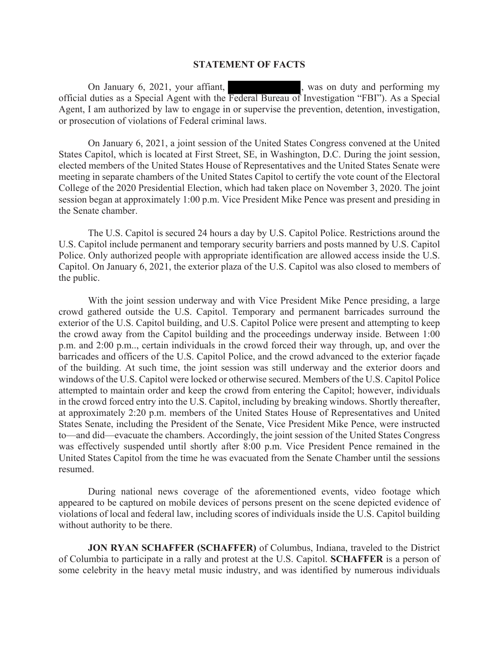## **STATEMENT OF FACTS**

On January 6, 2021, your affiant, the same section was on duty and performing my official duties as a Special Agent with the Federal Bureau of Investigation "FBI"). As a Special Agent, I am authorized by law to engage in or supervise the prevention, detention, investigation, or prosecution of violations of Federal criminal laws.

On January 6, 2021, a joint session of the United States Congress convened at the United States Capitol, which is located at First Street, SE, in Washington, D.C. During the joint session, elected members of the United States House of Representatives and the United States Senate were meeting in separate chambers of the United States Capitol to certify the vote count of the Electoral College of the 2020 Presidential Election, which had taken place on November 3, 2020. The joint session began at approximately 1:00 p.m. Vice President Mike Pence was present and presiding in the Senate chamber.

The U.S. Capitol is secured 24 hours a day by U.S. Capitol Police. Restrictions around the U.S. Capitol include permanent and temporary security barriers and posts manned by U.S. Capitol Police. Only authorized people with appropriate identification are allowed access inside the U.S. Capitol. On January 6, 2021, the exterior plaza of the U.S. Capitol was also closed to members of the public.

With the joint session underway and with Vice President Mike Pence presiding, a large crowd gathered outside the U.S. Capitol. Temporary and permanent barricades surround the exterior of the U.S. Capitol building, and U.S. Capitol Police were present and attempting to keep the crowd away from the Capitol building and the proceedings underway inside. Between 1:00 p.m. and 2:00 p.m.., certain individuals in the crowd forced their way through, up, and over the barricades and officers of the U.S. Capitol Police, and the crowd advanced to the exterior façade of the building. At such time, the joint session was still underway and the exterior doors and windows of the U.S. Capitol were locked or otherwise secured. Members of the U.S. Capitol Police attempted to maintain order and keep the crowd from entering the Capitol; however, individuals in the crowd forced entry into the U.S. Capitol, including by breaking windows. Shortly thereafter, at approximately 2:20 p.m. members of the United States House of Representatives and United States Senate, including the President of the Senate, Vice President Mike Pence, were instructed to—and did—evacuate the chambers. Accordingly, the joint session of the United States Congress was effectively suspended until shortly after 8:00 p.m. Vice President Pence remained in the United States Capitol from the time he was evacuated from the Senate Chamber until the sessions resumed.

During national news coverage of the aforementioned events, video footage which appeared to be captured on mobile devices of persons present on the scene depicted evidence of violations of local and federal law, including scores of individuals inside the U.S. Capitol building without authority to be there.

**JON RYAN SCHAFFER (SCHAFFER)** of Columbus, Indiana, traveled to the District of Columbia to participate in a rally and protest at the U.S. Capitol. **SCHAFFER** is a person of some celebrity in the heavy metal music industry, and was identified by numerous individuals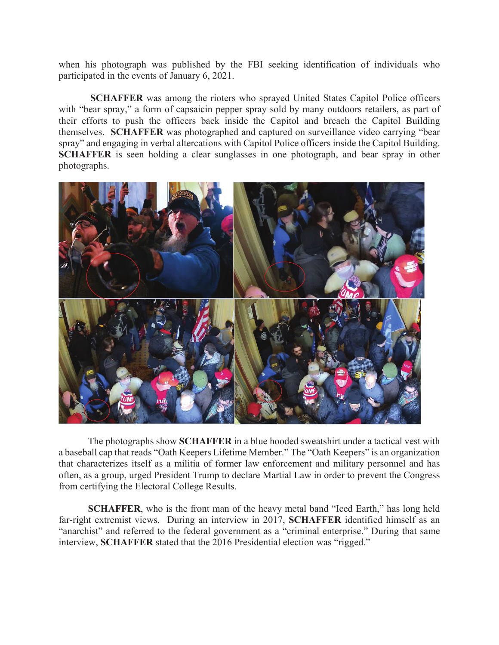when his photograph was published by the FBI seeking identification of individuals who participated in the events of January 6, 2021.

**SCHAFFER** was among the rioters who sprayed United States Capitol Police officers with "bear spray," a form of capsaicin pepper spray sold by many outdoors retailers, as part of their efforts to push the officers back inside the Capitol and breach the Capitol Building themselves. **SCHAFFER** was photographed and captured on surveillance video carrying "bear spray" and engaging in verbal altercations with Capitol Police officers inside the Capitol Building. **SCHAFFER** is seen holding a clear sunglasses in one photograph, and bear spray in other photographs.



The photographs show **SCHAFFER** in a blue hooded sweatshirt under a tactical vest with a baseball cap that reads "Oath Keepers Lifetime Member." The "Oath Keepers" is an organization that characterizes itself as a militia of former law enforcement and military personnel and has often, as a group, urged President Trump to declare Martial Law in order to prevent the Congress from certifying the Electoral College Results.

**SCHAFFER**, who is the front man of the heavy metal band "Iced Earth," has long held far-right extremist views. During an interview in 2017, **SCHAFFER** identified himself as an "anarchist" and referred to the federal government as a "criminal enterprise." During that same interview, **SCHAFFER** stated that the 2016 Presidential election was "rigged."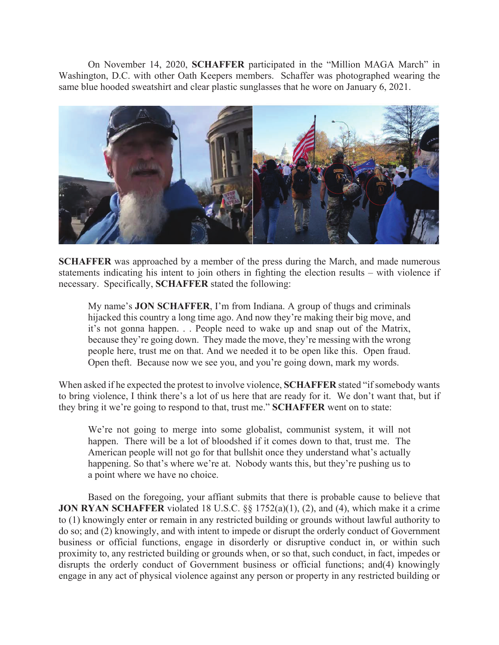On November 14, 2020, **SCHAFFER** participated in the "Million MAGA March" in Washington, D.C. with other Oath Keepers members. Schaffer was photographed wearing the same blue hooded sweatshirt and clear plastic sunglasses that he wore on January 6, 2021.



**SCHAFFER** was approached by a member of the press during the March, and made numerous statements indicating his intent to join others in fighting the election results – with violence if necessary. Specifically, **SCHAFFER** stated the following:

My name's **JON SCHAFFER**, I'm from Indiana. A group of thugs and criminals hijacked this country a long time ago. And now they're making their big move, and it's not gonna happen. . . People need to wake up and snap out of the Matrix, because they're going down. They made the move, they're messing with the wrong people here, trust me on that. And we needed it to be open like this. Open fraud. Open theft. Because now we see you, and you're going down, mark my words.

When asked if he expected the protest to involve violence, **SCHAFFER** stated "if somebody wants to bring violence, I think there's a lot of us here that are ready for it. We don't want that, but if they bring it we're going to respond to that, trust me." **SCHAFFER** went on to state:

We're not going to merge into some globalist, communist system, it will not happen. There will be a lot of bloodshed if it comes down to that, trust me. The American people will not go for that bullshit once they understand what's actually happening. So that's where we're at. Nobody wants this, but they're pushing us to a point where we have no choice.

Based on the foregoing, your affiant submits that there is probable cause to believe that **JON RYAN SCHAFFER** violated 18 U.S.C. §§ 1752(a)(1), (2), and (4), which make it a crime to (1) knowingly enter or remain in any restricted building or grounds without lawful authority to do so; and (2) knowingly, and with intent to impede or disrupt the orderly conduct of Government business or official functions, engage in disorderly or disruptive conduct in, or within such proximity to, any restricted building or grounds when, or so that, such conduct, in fact, impedes or disrupts the orderly conduct of Government business or official functions; and(4) knowingly engage in any act of physical violence against any person or property in any restricted building or